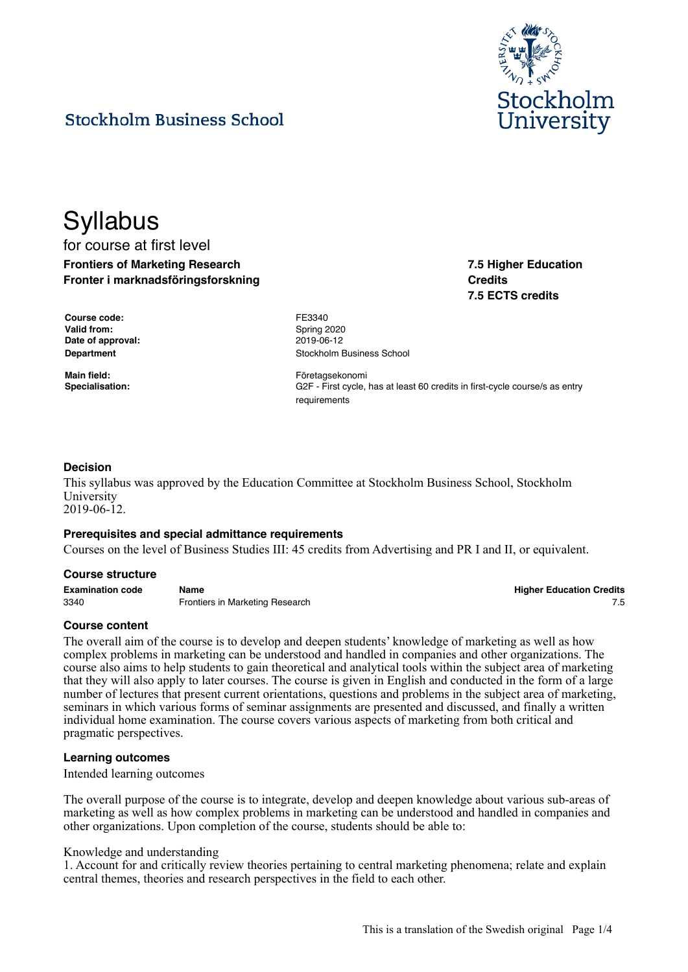

# **Stockholm Business School**

# **Syllabus** for course at first level **Frontiers of Marketing Research**

**Fronter i marknadsföringsforskning**

| 7.5 Higher Education |
|----------------------|
| <b>Credits</b>       |
| 7.5 ECTS credits     |

| Course code:       |
|--------------------|
| <b>Valid from:</b> |
| Date of approval:  |
| <b>Department</b>  |

**Course code:** FE3340 **Valid from:** Spring 2020 **Date of approval:** 2019-06-12 **Stockholm Business School** 

**Main field:** Företagsekonomi **Specialisation:** G2F - First cycle, has at least 60 credits in first-cycle course/s as entry requirements

# **Decision**

This syllabus was approved by the Education Committee at Stockholm Business School, Stockholm University 2019-06-12.

#### **Prerequisites and special admittance requirements**

Courses on the level of Business Studies III: 45 credits from Advertising and PR I and II, or equivalent.

#### **Course structure**

**Examination code Name Higher Education Credits** 3340 Frontiers in Marketing Research 7.5

# **Course content**

The overall aim of the course is to develop and deepen students' knowledge of marketing as well as how complex problems in marketing can be understood and handled in companies and other organizations. The course also aims to help students to gain theoretical and analytical tools within the subject area of marketing that they will also apply to later courses. The course is given in English and conducted in the form of a large number of lectures that present current orientations, questions and problems in the subject area of marketing, seminars in which various forms of seminar assignments are presented and discussed, and finally a written individual home examination. The course covers various aspects of marketing from both critical and pragmatic perspectives.

#### **Learning outcomes**

Intended learning outcomes

The overall purpose of the course is to integrate, develop and deepen knowledge about various sub-areas of marketing as well as how complex problems in marketing can be understood and handled in companies and other organizations. Upon completion of the course, students should be able to:

#### Knowledge and understanding

1. Account for and critically review theories pertaining to central marketing phenomena; relate and explain central themes, theories and research perspectives in the field to each other.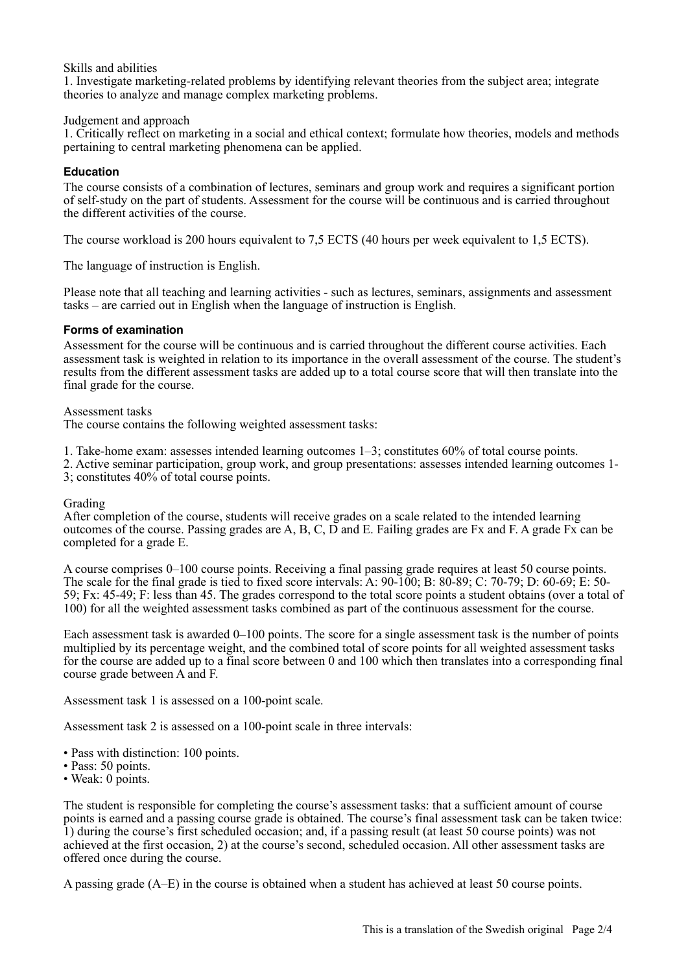Skills and abilities

1. Investigate marketing-related problems by identifying relevant theories from the subject area; integrate theories to analyze and manage complex marketing problems.

## Judgement and approach

1. Critically reflect on marketing in a social and ethical context; formulate how theories, models and methods pertaining to central marketing phenomena can be applied.

# **Education**

The course consists of a combination of lectures, seminars and group work and requires a significant portion of self-study on the part of students. Assessment for the course will be continuous and is carried throughout the different activities of the course.

The course workload is 200 hours equivalent to 7,5 ECTS (40 hours per week equivalent to 1,5 ECTS).

The language of instruction is English.

Please note that all teaching and learning activities - such as lectures, seminars, assignments and assessment tasks – are carried out in English when the language of instruction is English.

## **Forms of examination**

Assessment for the course will be continuous and is carried throughout the different course activities. Each assessment task is weighted in relation to its importance in the overall assessment of the course. The student's results from the different assessment tasks are added up to a total course score that will then translate into the final grade for the course.

#### Assessment tasks

The course contains the following weighted assessment tasks:

1. Take-home exam: assesses intended learning outcomes 1–3; constitutes 60% of total course points.

2. Active seminar participation, group work, and group presentations: assesses intended learning outcomes 1- 3; constitutes 40% of total course points.

#### Grading

After completion of the course, students will receive grades on a scale related to the intended learning outcomes of the course. Passing grades are A, B, C, D and E. Failing grades are Fx and F. A grade Fx can be completed for a grade E.

A course comprises 0–100 course points. Receiving a final passing grade requires at least 50 course points. The scale for the final grade is tied to fixed score intervals: A: 90-100; B: 80-89; C: 70-79; D: 60-69; E: 50- 59; Fx: 45-49; F: less than 45. The grades correspond to the total score points a student obtains (over a total of 100) for all the weighted assessment tasks combined as part of the continuous assessment for the course.

Each assessment task is awarded 0–100 points. The score for a single assessment task is the number of points multiplied by its percentage weight, and the combined total of score points for all weighted assessment tasks for the course are added up to a final score between 0 and 100 which then translates into a corresponding final course grade between A and F.

Assessment task 1 is assessed on a 100-point scale.

Assessment task 2 is assessed on a 100-point scale in three intervals:

- Pass with distinction: 100 points.
- Pass: 50 points.
- Weak: 0 points.

The student is responsible for completing the course's assessment tasks: that a sufficient amount of course points is earned and a passing course grade is obtained. The course's final assessment task can be taken twice: 1) during the course's first scheduled occasion; and, if a passing result (at least 50 course points) was not achieved at the first occasion, 2) at the course's second, scheduled occasion. All other assessment tasks are offered once during the course.

A passing grade (A–E) in the course is obtained when a student has achieved at least 50 course points.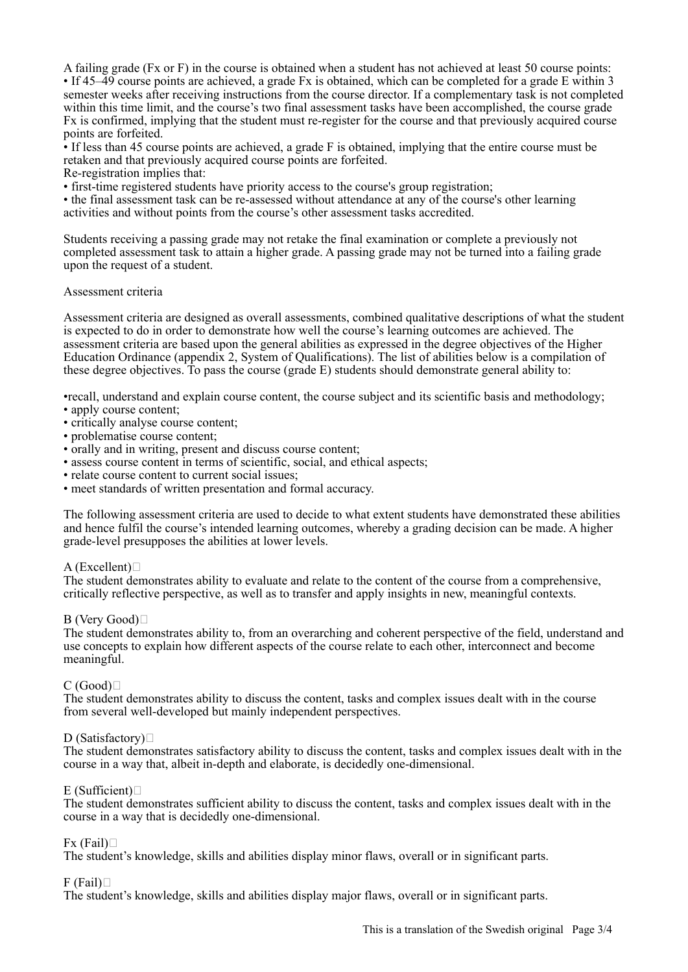A failing grade (Fx or F) in the course is obtained when a student has not achieved at least 50 course points: • If 45–49 course points are achieved, a grade Fx is obtained, which can be completed for a grade E within 3 semester weeks after receiving instructions from the course director. If a complementary task is not completed within this time limit, and the course's two final assessment tasks have been accomplished, the course grade Fx is confirmed, implying that the student must re-register for the course and that previously acquired course points are forfeited.

• If less than 45 course points are achieved, a grade F is obtained, implying that the entire course must be retaken and that previously acquired course points are forfeited.

Re-registration implies that:

• first-time registered students have priority access to the course's group registration;

• the final assessment task can be re-assessed without attendance at any of the course's other learning activities and without points from the course's other assessment tasks accredited.

Students receiving a passing grade may not retake the final examination or complete a previously not completed assessment task to attain a higher grade. A passing grade may not be turned into a failing grade upon the request of a student.

## Assessment criteria

Assessment criteria are designed as overall assessments, combined qualitative descriptions of what the student is expected to do in order to demonstrate how well the course's learning outcomes are achieved. The assessment criteria are based upon the general abilities as expressed in the degree objectives of the Higher Education Ordinance (appendix 2, System of Qualifications). The list of abilities below is a compilation of these degree objectives. To pass the course (grade E) students should demonstrate general ability to:

•recall, understand and explain course content, the course subject and its scientific basis and methodology;

- apply course content;
- critically analyse course content;
- problematise course content;
- orally and in writing, present and discuss course content;
- assess course content in terms of scientific, social, and ethical aspects;
- relate course content to current social issues;
- meet standards of written presentation and formal accuracy.

The following assessment criteria are used to decide to what extent students have demonstrated these abilities and hence fulfil the course's intended learning outcomes, whereby a grading decision can be made. A higher grade-level presupposes the abilities at lower levels.

# A (Excellent) $\Box$

The student demonstrates ability to evaluate and relate to the content of the course from a comprehensive, critically reflective perspective, as well as to transfer and apply insights in new, meaningful contexts.

# B (Very Good)

The student demonstrates ability to, from an overarching and coherent perspective of the field, understand and use concepts to explain how different aspects of the course relate to each other, interconnect and become meaningful.

# $C(Good)$

The student demonstrates ability to discuss the content, tasks and complex issues dealt with in the course from several well-developed but mainly independent perspectives.

# D (Satisfactory) $\Box$

The student demonstrates satisfactory ability to discuss the content, tasks and complex issues dealt with in the course in a way that, albeit in-depth and elaborate, is decidedly one-dimensional.

# $E$  (Sufficient) $\Box$

The student demonstrates sufficient ability to discuss the content, tasks and complex issues dealt with in the course in a way that is decidedly one-dimensional.

# $Fx$  (Fail) $\Box$

The student's knowledge, skills and abilities display minor flaws, overall or in significant parts.

# $F$  (Fail) $\Box$

The student's knowledge, skills and abilities display major flaws, overall or in significant parts.